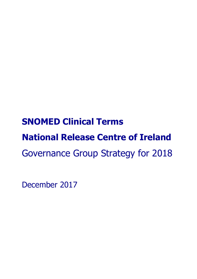# **SNOMED Clinical Terms National Release Centre of Ireland** Governance Group Strategy for 2018

December 2017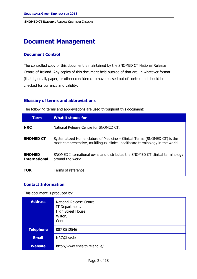# **Document Management**

# **Document Control**

The controlled copy of this document is maintained by the SNOMED CT National Release Centre of Ireland. Any copies of this document held outside of that are, in whatever format (that is, email, paper, or other) considered to have passed out of control and should be checked for currency and validity.

# **Glossary of terms and abbreviations**

| THE TUIDWITH TELLIS AND EVIATORS ARE USED THROUGHOUL USED UCCULLENCY |                                                                                                                                                             |  |  |  |
|----------------------------------------------------------------------|-------------------------------------------------------------------------------------------------------------------------------------------------------------|--|--|--|
| <b>Term</b>                                                          | <b>What it stands for</b>                                                                                                                                   |  |  |  |
| <b>NRC</b>                                                           | National Release Centre for SNOMED CT.                                                                                                                      |  |  |  |
| <b>SNOMED CT</b>                                                     | Systematized Nomenclature of Medicine – Clinical Terms (SNOMED CT) is the<br>most comprehensive, multilingual clinical healthcare terminology in the world. |  |  |  |
| <b>SNOMED</b><br><b>International</b>                                | SNOMED International owns and distributes the SNOMED CT clinical terminology<br>around the world.                                                           |  |  |  |
| <b>TOR</b>                                                           | Terms of reference                                                                                                                                          |  |  |  |

The following terms and abbreviations are used throughout this document:

# **Contact Information**

This document is produced by:

| <b>Address</b>   | National Release Centre<br>IT Department,<br>High Street House,<br>Wilton,<br>Cork |
|------------------|------------------------------------------------------------------------------------|
| <b>Telephone</b> | 087 0512546                                                                        |
| <b>Email</b>     | NRC@hse.ie                                                                         |
| <b>Website</b>   | http://www.ehealthireland.ie/                                                      |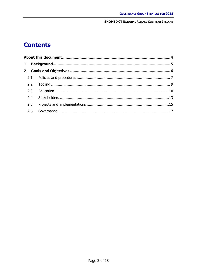# **Contents**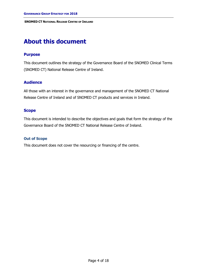# <span id="page-3-0"></span>**About this document**

## **Purpose**

This document outlines the strategy of the Governance Board of the SNOMED Clinical Terms (SNOMED CT) National Release Centre of Ireland.

## **Audience**

All those with an interest in the governance and management of the SNOMED CT National Release Centre of Ireland and of SNOMED CT products and services in Ireland.

#### **Scope**

This document is intended to describe the objectives and goals that form the strategy of the Governance Board of the SNOMED CT National Release Centre of Ireland.

#### **Out of Scope**

This document does not cover the resourcing or financing of the centre.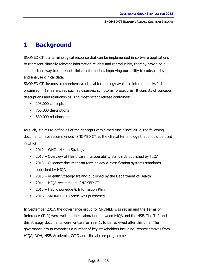# <span id="page-4-0"></span>**1 Background**

SNOMED CT is a terminological resource that can be implemented in software applications to represent clinically relevant information reliably and reproducibly, thereby providing a standardised way to represent clinical information, improving our ability to code, retrieve, and analyse clinical data.

SNOMED CT the most comprehensive clinical terminology available internationally. It is organised in 19 hierarchies such as diseases, symptoms, procedures. It consists of concepts, descriptions and relationships. The most recent release contained:

- 293,000 concepts
- 765,000 descriptions
- 830,000 relationships.

As such, it aims to define all of the concepts within medicine. Since 2012, the following documents have recommended SNOMED CT as the clinical terminology that should be used in EHRs:

- $\blacksquare$  2012 WHO eHealth Strategy
- <sup>2013</sup> Overview of Healthcare interoperability standards published by HIQA
- 2013 Guidance document on terminology & classification systems standards published by HIQA
- 2013 eHealth Strategy Ireland published by the Department of Health
- 2014 HIQA recommends SNOMED CT.
- **2015 HSE Knowledge & Information Plan**
- 2016 SNOMED CT license was purchased.

In September 2017, the governance group for SNOMED was set up and the Terms of Reference (ToR) were written, in collaboration between HIQA and the HSE. The ToR and this strategy documents were written for Year 1, to be reviewed after this time. The governance group comprises a number of key stakeholders including, representatives from HIQA, DOH, HSE, Academia, CCIO and clinical care programmes.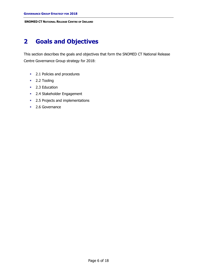# <span id="page-5-0"></span>**2 Goals and Objectives**

This section describes the goals and objectives that form the SNOMED CT National Release Centre Governance Group strategy for 2018:

- [2.1](#page-6-0) [Policies and procedures](#page-6-0)
- **[2.2](#page-8-0) [Tooling](#page-8-0)**
- [2.3](#page-9-0) [Education](#page-9-0)
- **[2.4](#page-12-0) Stakeholder Engagement**
- [2.5](#page-14-0) [Projects and implementations](#page-14-0)
- [2.6](#page-16-0) [Governance](#page-16-0)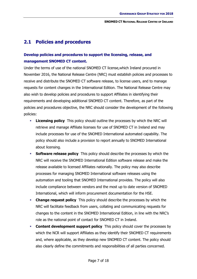# <span id="page-6-0"></span>**2.1 Policies and procedures**

# **Develop policies and procedures to support the licensing, release, and management SNOMED CT content.**

Under the terms of use of the national SNOMED CT license,which Ireland procured in November 2016, the National Release Centre (NRC) must establish policies and processes to receive and distribute the SNOMED CT software release, to license users, and to manage requests for content changes in the International Edition. The National Release Centre may also wish to develop policies and procedures to support Affiliates in identifying their requirements and developing additional SNOMED CT content. Therefore, as part of the policies and procedures objective, the NRC should consider the development of the following policies:

- **Licensing policy** This policy should outline the processes by which the NRC will retrieve and manage Affiliate licenses for use of SNOMED CT in Ireland and may include processes for use of the SNOMED International automated capability. The policy should also include a provision to report annually to SNOMED International about licensing.
- **Software release policy** This policy should describe the processes by which the NRC will receive the SNOMED International Edition software release and make the release available to licensed Affiliates nationally. The policy may also describe processes for managing SNOMED International software releases using the automation and tooling that SNOMED International provides. The policy will also include compliance between vendors and the most up to date version of SNOMED International, which will inform procurement documentation for the HSE.
- **Change request policy** This policy should describe the processes by which the NRC will facilitate feedback from users, collating and communicating requests for changes to the content in the SNOMED International Edition, in line with the NRC's role as the national point of contact for SNOMED CT in Ireland.
- **Content development support policy** This policy should cover the processes by which the NCR will support Affiliates as they identify their SNOMED CT requirements and, where applicable, as they develop new SNOMED CT content. The policy should also clearly define the commitments and responsibilities of all parties concerned.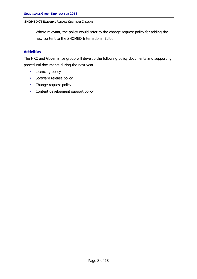Where relevant, the policy would refer to the change request policy for adding the new content to the SNOMED International Edition.

## **Activities**

The NRC and Governance group will develop the following policy documents and supporting procedural documents during the next year:

- **Licencing policy**
- **Software release policy**
- Change request policy
- **Content development support policy**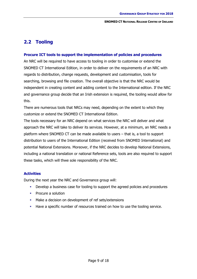# <span id="page-8-0"></span>**2.2 Tooling**

#### **Procure ICT tools to support the implementation of policies and procedures**

An NRC will be required to have access to tooling in order to customise or extend the SNOMED CT International Edition, in order to deliver on the requirements of an NRC with regards to distribution, change requests, development and customisation, tools for searching, browsing and file creation. The overall objective is that the NRC would be independent in creating content and adding content to the International edition. If the NRC and governance group decide that an Irish extension is required, the tooling would allow for this.

There are numerous tools that NRCs may need, depending on the extent to which they customize or extend the SNOMED CT International Edition.

The tools necessary for an NRC depend on what services the NRC will deliver and what approach the NRC will take to deliver its services. However, at a minimum, an NRC needs a platform where SNOMED CT can be made available to users – that is, a tool to support distribution to users of the International Edition (received from SNOMED International) and potential National Extensions. Moreover, if the NRC decides to develop National Extensions, including a national translation or national Reference sets, tools are also required to support these tasks, which will thwe sole responsibility of the NRC.

#### **Activities**

During the next year the NRC and Governance group will:

- Develop a business case for tooling to support the agreed policies and procedures
- Procure a solution
- Make a decision on development of ref sets/extensions
- Have a specific number of resources trained on how to use the tooling service.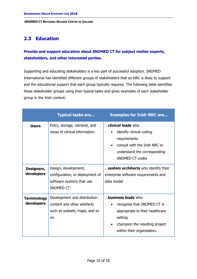# <span id="page-9-0"></span>**2.3 Education**

# **Provide and support education about SNOMED CT for subject matter experts, stakeholders, and other interested parties.**

Supporting and educating stakeholders is a key part of successful adoption. SNOMED International has identified different groups of stakeholders that an NRC is likely to support and the educational support that each group typically requires. The following table identifies these stakeholder groups using their typical tasks and gives examples of each stakeholder group in the Irish context:

|                                  | <b>Typical tasks are</b>                                                                            | <b>Examples for Irish NRC are</b>                                                                                                                                       |
|----------------------------------|-----------------------------------------------------------------------------------------------------|-------------------------------------------------------------------------------------------------------------------------------------------------------------------------|
| <b>Users</b>                     | Entry, storage, retrieval, and<br>reuse of clinical information.                                    | clinical leads who<br>identify clinical coding<br>requirements<br>consult with the Irish NRC to<br>understand the corresponding<br>SNOMED CT codes                      |
| Designers,<br>developers         | Design, development,<br>configuration, or deployment of<br>software systems that use<br>SNOMED CT.  | system architects who identify their<br>enterprise software requirements and<br>data model                                                                              |
| <b>Terminology</b><br>developers | Development and distribution<br>content and other artefacts<br>such as subsets, maps, and so<br>on. | <b>business leads</b> who:<br>recognise that SNOMED CT is<br>appropriate to their healthcare<br>setting<br>champion the resulting project<br>within their organisation. |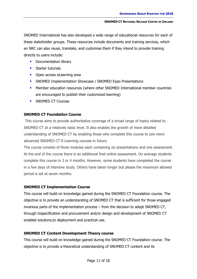SNOMED International has also developed a wide range of educational resources for each of these stakeholder groups. These resources include documents and training services, which an NRC can also reuse, translate, and customise them if they intend to provide training directly to users include:

- **•** Documentation library
- **Starter tutorials**
- Open access eLearning area
- **SNOMED Implementation Showcase / SNOMED Expo Presentations**
- Member education resources (where other SNOMED International member countries are encouraged to publish their customized learning)
- **SNOMED CT Courses**

# **SNOMED CT Foundation Course**

This course aims to provide authoritative coverage of a broad range of topics related to SNOMED CT at a relatively basic level. It also enables the growth of more detailed understanding of SNOMED CT by enabling those who complete this course to join more advanced SNOMED CT E-Learning courses in future.

The course consists of three modules each containing six presentations and one assessment. At the end of the course there is an additional final online assessment. On average students complete this course in 3 or 4 months. However, some students have completed the course in a few days of intensive study. Others have taken longer but please the maximum allowed period is set at seven months.

## **SNOMED CT Implementation Course**

This course will build on knowledge gained during the SNOMED CT Foundation course. The objective is to provide an understanding of SNOMED CT that is sufficient for those engaged invarious parts of the implementation process – from the decision to adopt SNOMED CT, through tospecification and procurement and/or design and development of SNOMED CT enabled solutions,to deployment and practical use.

## **SNOMED CT Content Development Theory course**

This course will build on knowledge gained during the SNOMED CT Foundation course. The objective is to provide a theoretical understanding of SNOMED CT content and its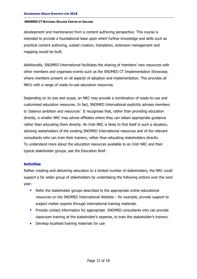development and maintenance from a content authoring perspective. This course is intended to provide a foundational base upon which further knowledge and skills such as practical content authoring, subset creation, translation; extension management and mapping would be built.

Additionally, SNOMED International facilitates the sharing of members' new resources with other members and organises events such as the SNOMED CT Implementation Showcase, where members present on all aspects of adoption and implementation. This provides all NRCs with a range of ready-to-use education resources.

Depending on its size and scope, an NRC may provide a combination of ready-to-use and customised education resources. In fact, SNOMED International explicitly advises members to 'balance ambition and resources'. It recognises that, rather than providing education directly, a smaller NRC may advise affiliates where they can obtain appropriate guidance rather than educating them directly. An Irish NRC is likely to find itself in such a situation, advising stakeholders of the existing SNOMED International resources and of the relevant consultants who can train their trainers, rather than educating stakeholders directly. To understand more about the education resources available to an Irish NRC and their typical stakeholder groups, see the Education Brief.

#### **Activities**

Rather creating and delivering education to a limited number of stakeholders, the NRC could support a far wider group of stakeholders by undertaking the following actions over the next year:

- Refer the stakeholder groups described to the appropriate online educational resources on the SNOMED International Website – for example, provide support to subject matter experts through international training materials.
- **Provide contact information for appropriate SNOMED consultants who can provide** classroom training at the stakeholder's expense, to train the stakeholder's trainers.
- Develop localised training materials for use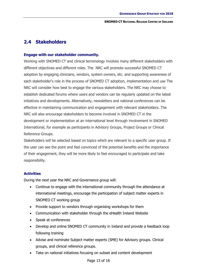# <span id="page-12-0"></span>**2.4 Stakeholders**

#### **Engage with our stakeholder community.**

Working with SNOMED CT and clinical terminology involves many different stakeholders with different objectives and different roles. The NRC will promote successful SNOMED CT adoption by engaging clinicians, vendors, system owners, etc. and supporting awareness of each stakeholder's role in the process of SNOMED CT adoption, implementation and use The NRC will consider how best to engage the various stakeholders. The NRC may choose to establish dedicated forums where users and vendors can be regularly updated on the latest initiatives and developments. Alternatively, newsletters and national conferences can be effective in maintaining communication and engagement with relevant stakeholders. The NRC will also encourage stakeholders to become involved in SNOMED CT in the development or implementation at an international level through involvement in SNOMED International, for example as participants in Advisory Groups, Project Groups or Clinical Reference Groups.

Stakeholders will be selected based on topics which are relevant to a specific user group. If the user can see the point and feel convinced of the potential benefits and the importance of their engagement, they will be more likely to feel encouraged to participate and take responsibility.

#### **Activities**

During the next year the NRC and Governance group will:

- Continue to engage with the international community through the attendance at international meetings, encourage the participation of subject matter experts in SNOMED CT working group
- Provide support to vendors through organising workshops for them
- Communication with stakeholder through the eHealth Ireland Website
- Speak at conferences
- Develop and online SNOMED CT community in Ireland and provide a feedback loop following training
- Advise and nominate Subject matter experts (SME) for Advisory groups. Clinical groups, and clinical reference groups.
- Take on national initiatives focusing on subset and content development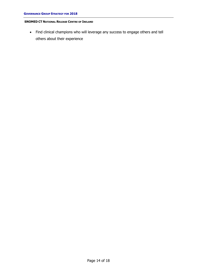Find clinical champions who will leverage any success to engage others and tell others about their experience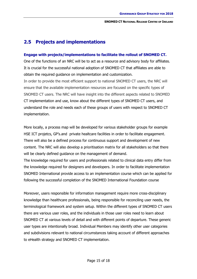# <span id="page-14-0"></span>**2.5 Projects and implementations**

#### **Engage with projects/implementations to facilitate the rollout of SNOMED CT.**

One of the functions of an NRC will be to act as a resource and advisory body for affiliates. It is crucial for the successful national adoption of SNOMED CT that affiliates are able to obtain the required guidance on implementation and customization.

In order to provide the most efficient support to national SNOMED CT users, the NRC will ensure that the available implementation resources are focused on the specific types of SNOMED CT users. The NRC will have insight into the different aspects related to SNOMED CT implementation and use, know about the different types of SNOMED CT users, and understand the role and needs each of these groups of users with respect to SNOMED CT implementation.

More locally, a process map will be developed for various stakeholder groups for example HSE ICT projetcs, GP's.and private healtcare facilities in order to facilitate engagement. There will also be a defined process for continuous support and development of new content. The NRC will also develop a prioritisation matrix for all stakeholders so that there will be clearly defined guidance on the management of demand.

The knowledge required for users and professionals related to clinical data entry differ from the knowledge required for designers and developers. In order to facilitate implementation SNOMED International provide access to an implementation course which can be applied for following the successful completion of the SNOMED International Foundation course

Moreover, users responsible for information management require more cross-disciplinary knowledge than healthcare professionals, being responsible for reconciling user needs, the terminological framework and system setup. Within the different types of SNOMED CT users there are various user roles, and the individuals in those user roles need to learn about SNOMED CT at various levels of detail and with different points of departure. These generic user types are intentionally broad. Individual Members may identify other user categories and subdivisions relevant to national circumstances taking account of different approaches to eHealth strategy and SNOMED CT implementation.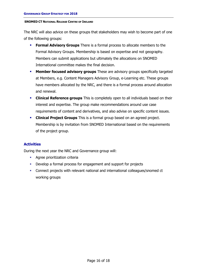The NRC will also advice on these groups that stakeholders may wish to become part of one of the following groups:

- **Formal Advisory Groups** There is a formal process to allocate members to the Formal Advisory Groups. Membership is based on expertise and not geography. Members can submit applications but ultimately the allocations on SNOMED International committee makes the final decision.
- **Member focused advisory groups** These are advisory groups specifically targeted at Members, e.g. Content Managers Advisory Group, e-Learning etc. These groups have members allocated by the NRC, and there is a formal process around allocation and renewal.
- **Clinical Reference groups** This is completely open to all individuals based on their interest and expertise. The group make recommendations around use case requirements of content and derivatives, and also advise on specific content issues.
- **Clinical Project Groups** This is a formal group based on an agreed project. Membership is by invitation from SNOMED International based on the requirements of the project group.

## **Activities**

During the next year the NRC and Governance group will:

- **Agree prioritization criteria**
- Develop a formal process for engagement and support for projects
- Connect projects with relevant national and international colleagues/snomed ct working groups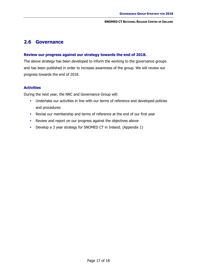# <span id="page-16-0"></span>**2.6 Governance**

#### **Review our progress against our strategy towards the end of 2018.**

The above strategy has been developed to inform the working to the governance groups and has been published in order to increase awareness of the group. We will review our progress towards the end of 2018.

#### **Activities**

During the next year, the NRC and Governance Group will:

- **Undertake our activities in line with our terms of reference and developed policies** and procedures
- Revise our membership and terms of reference at the end of our first year
- Review and report on our progress against the objectives above
- Develop a 3 year strategy for SNOMED CT in Ireland. (Appendix 1)